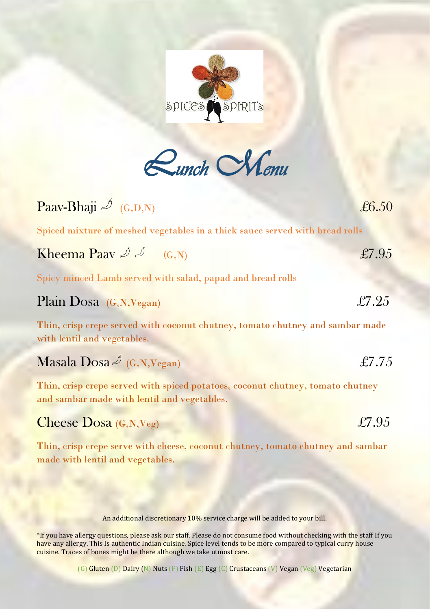

| Paav-Bhaji $\mathscr{Q}_{(G,D,N)}$                                                                                            | £6.50 |
|-------------------------------------------------------------------------------------------------------------------------------|-------|
| Spiced mixture of meshed vegetables in a thick sauce served with bread rolls                                                  |       |
| <b>Kheema Paav</b> $\mathscr{D}$ $\mathscr{D}$ (G,N)                                                                          | £7.95 |
| Spicy minced Lamb served with salad, papad and bread rolls                                                                    |       |
| Plain Dosa (G,N, Vegan)                                                                                                       | £7.25 |
| Thin, crisp crepe served with coconut chutney, tomato chutney and sambar made<br>with lentil and vegetables.                  |       |
| Masala Dosa $\mathscr{Q}$ (G,N,Vegan)                                                                                         | £7.75 |
| Thin, crisp crepe served with spiced potatoes, coconut chutney, tomato chutney<br>and sambar made with lentil and vegetables. |       |
| Cheese $Dosa(G,N,Veg)$                                                                                                        | £7.95 |

Thin, crisp crepe serve with cheese, coconut chutney, tomato chutney and sambar made with lentil and vegetables.

An additional discretionary 10% service charge will be added to your bill.

\*If you have allergy questions, please ask our staff. Please do not consume food without checking with the staff If you have any allergy. This Is authentic Indian cuisine. Spice level tends to be more compared to typical curry house cuisine. Traces of bones might be there although we take utmost care.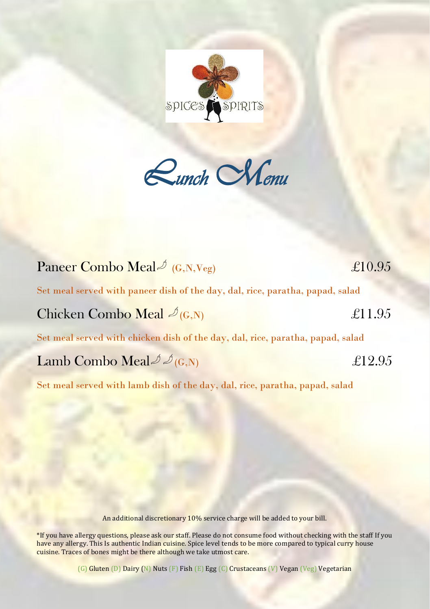

*Lunch Menu* 

## Paneer Combo Meal  $\approx$  (G,N,Veg)  $\approx$  £10.95 Set meal served with paneer dish of the day, dal, rice, paratha, papad, salad Chicken Combo Meal  $\mathcal{L}_{(\mathbf{G},\mathbf{N})}$   $\mathcal{L}11.95$

Set meal served with chicken dish of the day, dal, rice, paratha, papad, salad

## Lamb Combo Meal  $\mathcal{A}_{(G,N)}$   $\mathcal{L}12.95$

Set meal served with lamb dish of the day, dal, rice, paratha, papad, salad

An additional discretionary 10% service charge will be added to your bill.

\*If you have allergy questions, please ask our staff. Please do not consume food without checking with the staff If you have any allergy. This Is authentic Indian cuisine. Spice level tends to be more compared to typical curry house cuisine. Traces of bones might be there although we take utmost care.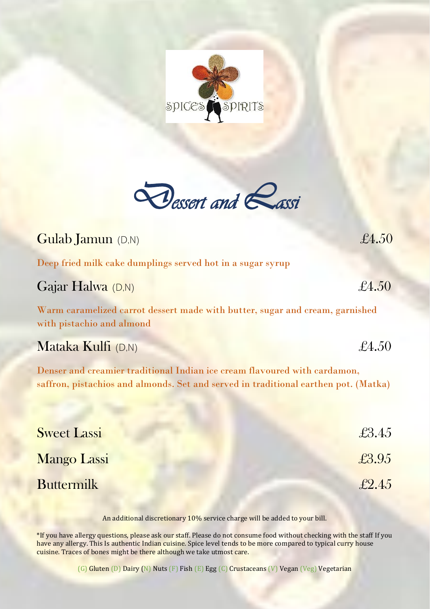

*Dessert and Lassi* 

| <b>Gulab Jamun</b> (D,N)                                                                                                                                         | £4.50         |
|------------------------------------------------------------------------------------------------------------------------------------------------------------------|---------------|
| Deep fried milk cake dumplings served hot in a sugar syrup                                                                                                       |               |
| Gajar Halwa (D,N)                                                                                                                                                | $\pounds4.50$ |
| Warm caramelized carrot dessert made with butter, sugar and cream, garnished<br>with pistachio and almond                                                        |               |
| Mataka Kulfi $(D,N)$                                                                                                                                             | £4.50         |
| Denser and creamier traditional Indian ice cream flavoured with cardamon,<br>saffron, pistachios and almonds. Set and served in traditional earthen pot. (Matka) |               |
| <b>Sweet Lassi</b>                                                                                                                                               | £3.45         |
| <b>Mango Lassi</b>                                                                                                                                               | £3.95         |
| <b>Buttermilk</b>                                                                                                                                                | $\pounds2.45$ |

An additional discretionary 10% service charge will be added to your bill.

\*If you have allergy questions, please ask our staff. Please do not consume food without checking with the staff If you have any allergy. This Is authentic Indian cuisine. Spice level tends to be more compared to typical curry house cuisine. Traces of bones might be there although we take utmost care.